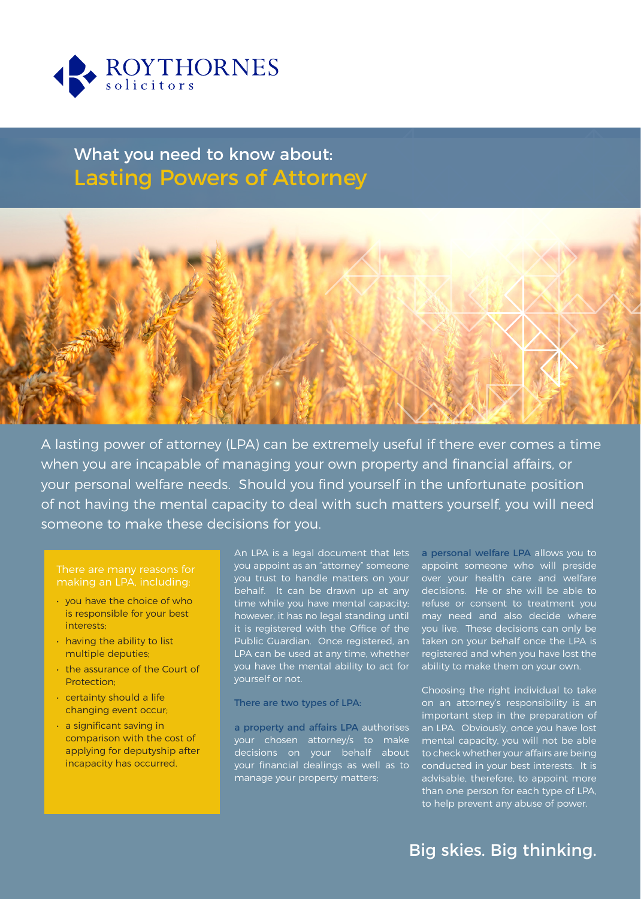

# What you need to know about: Lasting Powers of Attorney



A lasting power of attorney (LPA) can be extremely useful if there ever comes a time when you are incapable of managing your own property and financial affairs, or your personal welfare needs. Should you find yourself in the unfortunate position of not having the mental capacity to deal with such matters yourself, you will need someone to make these decisions for you.

- you have the choice of who is responsible for your best interests;
- having the ability to list multiple deputies;
- the assurance of the Court of Protection;
- certainty should a life changing event occur;
- a significant saving in comparison with the cost of applying for deputyship after incapacity has occurred.

An LPA is a legal document that lets you appoint as an "attorney" someone you trust to handle matters on your over your health care and welfare behalf. It can be drawn up at any time while you have mental capacity; however, it has no legal standing until it is registered with the Office of the Public Guardian. Once registered, an LPA can be used at any time, whether you have the mental ability to act for yourself or not.

### There are two types of LPA:

a property and affairs LPA authorises your chosen attorney/s to make decisions on your behalf about your financial dealings as well as to manage your property matters;

a personal welfare LPA allows you to appoint someone who will preside decisions. He or she will be able to refuse or consent to treatment you may need and also decide where you live. These decisions can only be taken on your behalf once the LPA is registered and when you have lost the ability to make them on your own.

Choosing the right individual to take on an attorney's responsibility is an important step in the preparation of an LPA. Obviously, once you have lost mental capacity, you will not be able to check whether your affairs are being conducted in your best interests. It is advisable, therefore, to appoint more than one person for each type of LPA, to help prevent any abuse of power.

## Big skies. Big thinking.